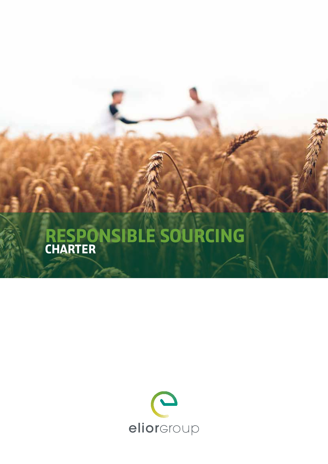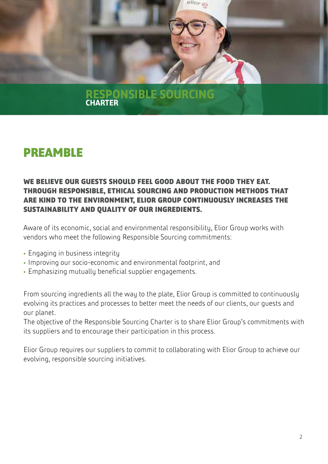

## **PREAMBLE**

## **WE BELIEVE OUR GUESTS SHOULD FEEL GOOD ABOUT THE FOOD THEY EAT. THROUGH RESPONSIBLE, ETHICAL SOURCING AND PRODUCTION METHODS THAT ARE KIND TO THE ENVIRONMENT, ELIOR GROUP CONTINUOUSLY INCREASES THE SUSTAINABILITY AND QUALITY OF OUR INGREDIENTS.**

Aware of its economic, social and environmental responsibility, Elior Group works with vendors who meet the following Responsible Sourcing commitments:

- **•** Engaging in business integrity
- **•** Improving our socio-economic and environmental footprint, and
- **•** Emphasizing mutually beneficial supplier engagements.

From sourcing ingredients all the way to the plate, Elior Group is committed to continuously evolving its practices and processes to better meet the needs of our clients, our guests and our planet.

The objective of the Responsible Sourcing Charter is to share Elior Group's commitments with its suppliers and to encourage their participation in this process.

Elior Group requires our suppliers to commit to collaborating with Elior Group to achieve our evolving, responsible sourcing initiatives.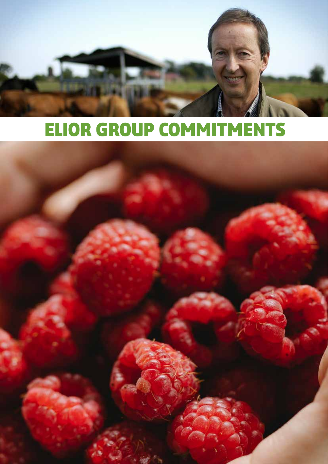

# **ELIOR GROUP COMMITMENTS**

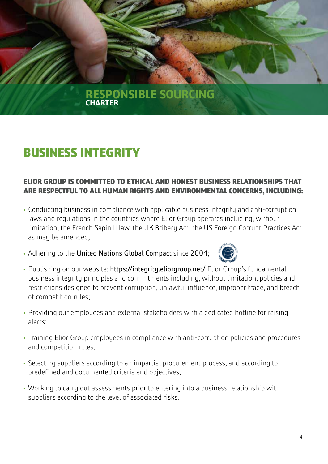# **BUSINESS INTEGRITY**

## **ELIOR GROUP IS COMMITTED TO ETHICAL AND HONEST BUSINESS RELATIONSHIPS THAT ARE RESPECTFUL TO ALL HUMAN RIGHTS AND ENVIRONMENTAL CONCERNS, INCLUDING:**

- **•** Conducting business in compliance with applicable business integrity and anti-corruption laws and regulations in the countries where Elior Group operates including, without limitation, the French Sapin II law, the UK Bribery Act, the US Foreign Corrupt Practices Act, as may be amended;
- **•** Adhering to the United Nations Global Compact since 2004;



- **•** Publishing on our website: https://integrity.eliorgroup.net/ Elior Group's fundamental business integrity principles and commitments including, without limitation, policies and restrictions designed to prevent corruption, unlawful influence, improper trade, and breach of competition rules;
- **•** Providing our employees and external stakeholders with a dedicated hotline for raising alerts;
- **•** Training Elior Group employees in compliance with anti-corruption policies and procedures and competition rules;
- **•** Selecting suppliers according to an impartial procurement process, and according to predefined and documented criteria and objectives;
- **•** Working to carry out assessments prior to entering into a business relationship with suppliers according to the level of associated risks.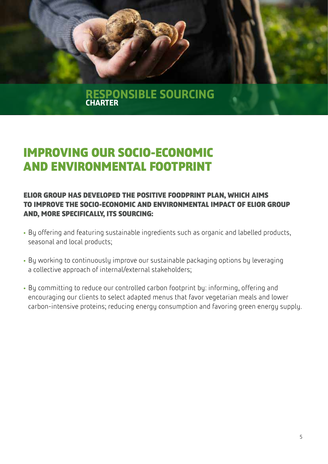

# **IMPROVING OUR SOCIO-ECONOMIC AND ENVIRONMENTAL FOOTPRINT**

## **ELIOR GROUP HAS DEVELOPED THE POSITIVE FOODPRINT PLAN, WHICH AIMS TO IMPROVE THE SOCIO-ECONOMIC AND ENVIRONMENTAL IMPACT OF ELIOR GROUP AND, MORE SPECIFICALLY, ITS SOURCING:**

- **•** By offering and featuring sustainable ingredients such as organic and labelled products, seasonal and local products;
- **•** By working to continuously improve our sustainable packaging options by leveraging a collective approach of internal/external stakeholders;
- **•** By committing to reduce our controlled carbon footprint by: informing, offering and encouraging our clients to select adapted menus that favor vegetarian meals and lower carbon-intensive proteins; reducing energy consumption and favoring green energy supply.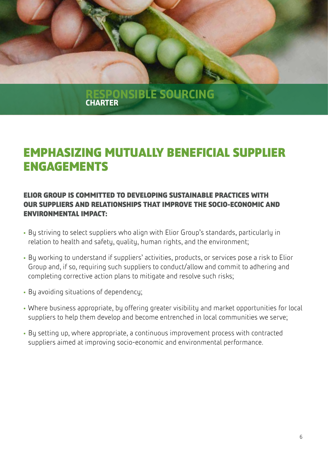

# **EMPHASIZING MUTUALLY BENEFICIAL SUPPLIER ENGAGEMENTS**

## **ELIOR GROUP IS COMMITTED TO DEVELOPING SUSTAINABLE PRACTICES WITH OUR SUPPLIERS AND RELATIONSHIPS THAT IMPROVE THE SOCIO-ECONOMIC AND ENVIRONMENTAL IMPACT:**

- **•** By striving to select suppliers who align with Elior Group's standards, particularly in relation to health and safety, quality, human rights, and the environment;
- **•** By working to understand if suppliers' activities, products, or services pose a risk to Elior Group and, if so, requiring such suppliers to conduct/allow and commit to adhering and completing corrective action plans to mitigate and resolve such risks;
- **•** By avoiding situations of dependency;
- **•** Where business appropriate, by offering greater visibility and market opportunities for local suppliers to help them develop and become entrenched in local communities we serve;
- **•** By setting up, where appropriate, a continuous improvement process with contracted suppliers aimed at improving socio-economic and environmental performance.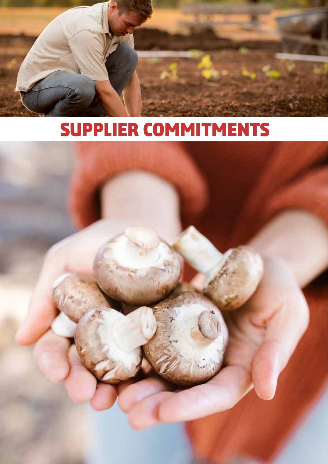

# **SUPPLIER COMMITMENTS**

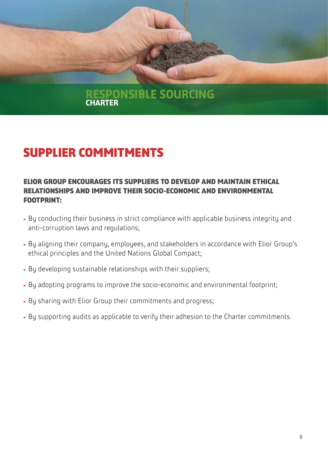

# **SUPPLIER COMMITMENTS**

### **ELIOR GROUP ENCOURAGES ITS SUPPLIERS TO DEVELOP AND MAINTAIN ETHICAL RELATIONSHIPS AND IMPROVE THEIR SOCIO-ECONOMIC AND ENVIRONMENTAL FOOTPRINT:**

- **•** By conducting their business in strict compliance with applicable business integrity and anti-corruption laws and regulations;
- **•** By aligning their company, employees, and stakeholders in accordance with Elior Group's ethical principles and the United Nations Global Compact;
- **•** By developing sustainable relationships with their suppliers;
- **•** By adopting programs to improve the socio-economic and environmental footprint;
- **•** By sharing with Elior Group their commitments and progress;
- **•** By supporting audits as applicable to verify their adhesion to the Charter commitments.